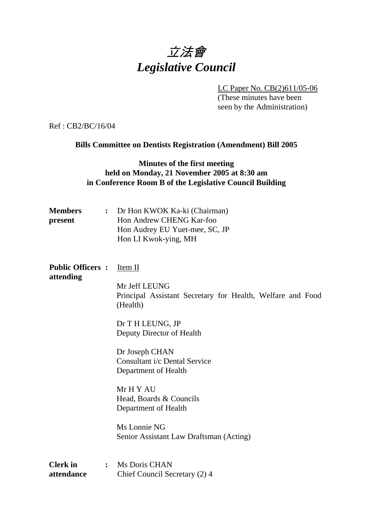# 立法會 *Legislative Council*

 LC Paper No. CB(2)611/05-06 (These minutes have been seen by the Administration)

Ref : CB2/BC/16/04

**Bills Committee on Dentists Registration (Amendment) Bill 2005** 

#### **Minutes of the first meeting held on Monday, 21 November 2005 at 8:30 am in Conference Room B of the Legislative Council Building**

| <b>Members</b><br>present            | $\ddot{\cdot}$ | Dr Hon KWOK Ka-ki (Chairman)<br>Hon Andrew CHENG Kar-foo<br>Hon Audrey EU Yuet-mee, SC, JP<br>Hon LI Kwok-ying, MH |
|--------------------------------------|----------------|--------------------------------------------------------------------------------------------------------------------|
| <b>Public Officers:</b><br>attending |                | Item II                                                                                                            |
|                                      |                | Mr Jeff LEUNG<br>Principal Assistant Secretary for Health, Welfare and Food<br>(Health)                            |
|                                      |                | Dr T H LEUNG, JP<br>Deputy Director of Health                                                                      |
|                                      |                | Dr Joseph CHAN<br>Consultant i/c Dental Service<br>Department of Health                                            |
|                                      |                | Mr H Y AU<br>Head, Boards & Councils<br>Department of Health                                                       |
|                                      |                | Ms Lonnie NG<br>Senior Assistant Law Draftsman (Acting)                                                            |
| <b>Clerk</b> in<br>attendance        | :              | Ms Doris CHAN<br>Chief Council Secretary (2) 4                                                                     |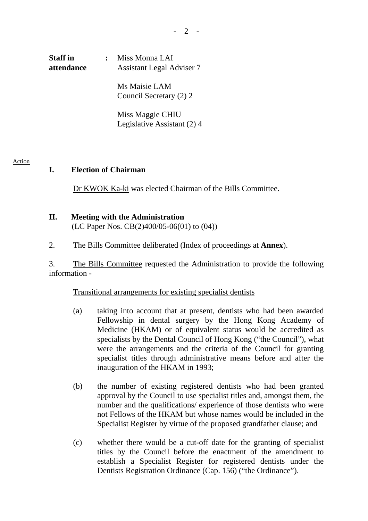# **Staff in : Miss Monna LAI attendance Assistant Legal Adviser 7**

 Ms Maisie LAM Council Secretary (2) 2

 Miss Maggie CHIU Legislative Assistant (2) 4

#### Action

#### **I. Election of Chairman**

Dr KWOK Ka-ki was elected Chairman of the Bills Committee.

# **II. Meeting with the Administration**

(LC Paper Nos. CB(2)400/05-06(01) to (04))

2. The Bills Committee deliberated (Index of proceedings at **Annex**).

3. The Bills Committee requested the Administration to provide the following information -

#### Transitional arrangements for existing specialist dentists

- (a) taking into account that at present, dentists who had been awarded Fellowship in dental surgery by the Hong Kong Academy of Medicine (HKAM) or of equivalent status would be accredited as specialists by the Dental Council of Hong Kong ("the Council"), what were the arrangements and the criteria of the Council for granting specialist titles through administrative means before and after the inauguration of the HKAM in 1993;
- (b) the number of existing registered dentists who had been granted approval by the Council to use specialist titles and, amongst them, the number and the qualifications/ experience of those dentists who were not Fellows of the HKAM but whose names would be included in the Specialist Register by virtue of the proposed grandfather clause; and
- (c) whether there would be a cut-off date for the granting of specialist titles by the Council before the enactment of the amendment to establish a Specialist Register for registered dentists under the Dentists Registration Ordinance (Cap. 156) ("the Ordinance").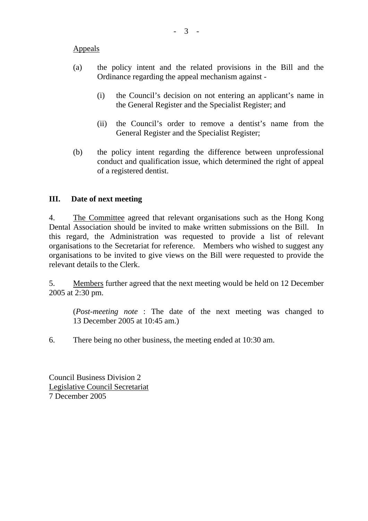#### Appeals

- (a) the policy intent and the related provisions in the Bill and the Ordinance regarding the appeal mechanism against -
	- (i) the Council's decision on not entering an applicant's name in the General Register and the Specialist Register; and
	- (ii) the Council's order to remove a dentist's name from the General Register and the Specialist Register;
- (b) the policy intent regarding the difference between unprofessional conduct and qualification issue, which determined the right of appeal of a registered dentist.

### **III. Date of next meeting**

4. The Committee agreed that relevant organisations such as the Hong Kong Dental Association should be invited to make written submissions on the Bill. In this regard, the Administration was requested to provide a list of relevant organisations to the Secretariat for reference. Members who wished to suggest any organisations to be invited to give views on the Bill were requested to provide the relevant details to the Clerk.

5. Members further agreed that the next meeting would be held on 12 December 2005 at 2:30 pm.

(*Post-meeting note* : The date of the next meeting was changed to 13 December 2005 at 10:45 am.)

6. There being no other business, the meeting ended at 10:30 am.

Council Business Division 2 Legislative Council Secretariat 7 December 2005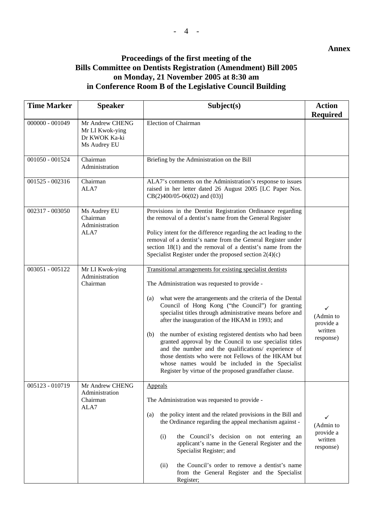#### **Annex**

## **Proceedings of the first meeting of the Bills Committee on Dentists Registration (Amendment) Bill 2005 on Monday, 21 November 2005 at 8:30 am in Conference Room B of the Legislative Council Building**

| <b>Time Marker</b> | <b>Speaker</b>                                                      | Subject(s)                                                                                                                                                                                                                                                                                                                                                                                                                                                                                                                                                                                                                                                                                                     | <b>Action</b>                                                  |
|--------------------|---------------------------------------------------------------------|----------------------------------------------------------------------------------------------------------------------------------------------------------------------------------------------------------------------------------------------------------------------------------------------------------------------------------------------------------------------------------------------------------------------------------------------------------------------------------------------------------------------------------------------------------------------------------------------------------------------------------------------------------------------------------------------------------------|----------------------------------------------------------------|
| 000000 - 001049    | Mr Andrew CHENG<br>Mr LI Kwok-ying<br>Dr KWOK Ka-ki<br>Ms Audrey EU | Election of Chairman                                                                                                                                                                                                                                                                                                                                                                                                                                                                                                                                                                                                                                                                                           | <b>Required</b>                                                |
| 001050 - 001524    | Chairman<br>Administration                                          | Briefing by the Administration on the Bill                                                                                                                                                                                                                                                                                                                                                                                                                                                                                                                                                                                                                                                                     |                                                                |
| 001525 - 002316    | Chairman<br>ALA7                                                    | ALA7's comments on the Administration's response to issues<br>raised in her letter dated 26 August 2005 [LC Paper Nos.<br>$CB(2)400/05-06(02)$ and $(03)$ ]                                                                                                                                                                                                                                                                                                                                                                                                                                                                                                                                                    |                                                                |
| 002317 - 003050    | Ms Audrey EU<br>Chairman<br>Administration<br>ALA7                  | Provisions in the Dentist Registration Ordinance regarding<br>the removal of a dentist's name from the General Register<br>Policy intent for the difference regarding the act leading to the<br>removal of a dentist's name from the General Register under<br>section $18(1)$ and the removal of a dentist's name from the<br>Specialist Register under the proposed section $2(4)(c)$                                                                                                                                                                                                                                                                                                                        |                                                                |
| 003051 - 005122    | Mr LI Kwok-ying<br>Administration<br>Chairman                       | Transitional arrangements for existing specialist dentists<br>The Administration was requested to provide -<br>what were the arrangements and the criteria of the Dental<br>(a)<br>Council of Hong Kong ("the Council") for granting<br>specialist titles through administrative means before and<br>after the inauguration of the HKAM in 1993; and<br>the number of existing registered dentists who had been<br>(b)<br>granted approval by the Council to use specialist titles<br>and the number and the qualifications/ experience of<br>those dentists who were not Fellows of the HKAM but<br>whose names would be included in the Specialist<br>Register by virtue of the proposed grandfather clause. | $\checkmark$<br>(Admin to<br>provide a<br>written<br>response) |
| 005123 - 010719    | Mr Andrew CHENG<br>Administration<br>Chairman<br>ALA7               | Appeals<br>The Administration was requested to provide -<br>the policy intent and the related provisions in the Bill and<br>(a)<br>the Ordinance regarding the appeal mechanism against -<br>(i)<br>the Council's decision on not entering an<br>applicant's name in the General Register and the<br>Specialist Register; and<br>the Council's order to remove a dentist's name<br>(ii)<br>from the General Register and the Specialist<br>Register;                                                                                                                                                                                                                                                           | ✓<br>(Admin to<br>provide a<br>written<br>response)            |